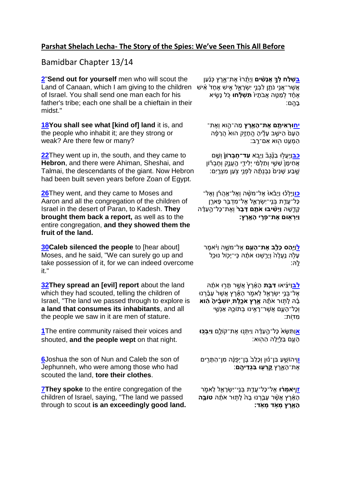## **Parshat Shelach Lecha- The Story of the Spies: We've Seen This All Before**

## Bamidbar Chapter 13/14

**[2](https://www.chabad.org/library/bible_cdo/aid/9941#v2)**"**Send out for yourself** men who will scout the Land of Canaan, which I am giving to the children אֲשֶׁר־אֲנֵי נֹתֵן לְבְנֵי יִשְׂרָאֱל אִישׁ אֶחָדْ אִישׁ of Israel. You shall send one man each for his father's tribe; each one shall be a chieftain in their midst."

**[18Y](https://www.chabad.org/library/bible_cdo/aid/9941#v18)ou shall see what [kind of] land** it is, and the people who inhabit it; are they strong or weak? Are there few or many?

**[22](https://www.chabad.org/library/bible_cdo/aid/9941#v22)**They went up in, the south, and they came to **Hebron**, and there were Ahiman, Sheshai, and Talmai, the descendants of the giant. Now Hebron had been built seven years before Zoan of Egypt.

**[26](https://www.chabad.org/library/bible_cdo/aid/9941#v26)**They went, and they came to Moses and Aaron and all the congregation of the children of Israel in the desert of Paran, to Kadesh. **They brought them back a report,** as well as to the entire congregation, **and they showed them the fruit of the land.**

**[30C](https://www.chabad.org/library/bible_cdo/aid/9941#v30)aleb silenced the people** to [hear about] Moses, and he said, "We can surely go up and take possession of it, for we can indeed overcome it."

**[32T](https://www.chabad.org/library/bible_cdo/aid/9941#v32)hey spread an [evil] report** about the land which they had scouted, telling the children of Israel, "The land we passed through to explore is **a land that consumes its inhabitants**, and all the people we saw in it are men of stature.

**[1](https://www.chabad.org/library/bible_cdo/aid/9942#v1)**The entire community raised their voices and shouted, **and the people wept** on that night.

**[6](https://www.chabad.org/library/bible_cdo/aid/9942#v6)**Joshua the son of Nun and Caleb the son of Jephunneh, who were among those who had scouted the land, **tore their clothes**.

**[7T](https://www.chabad.org/library/bible_cdo/aid/9942#v7)hey spoke** to the entire congregation of the children of Israel, saying, "The land we passed through to scout **is an exceedingly good land.** **ָ[בש](https://www.chabad.org/library/bible_cdo/aid/9941#v2)ׁלחלִךְ אַנַשִּׁים** ווַיָּת וֹאת־אַרץ כּנַען אֶחָד לְמַטֵּה אֲבֹתָיו**ֹ תִּשְׁלָּחוּ** כִּל נָשֵׂיא ֶּבָהֵם:

**[יחּו](https://www.chabad.org/library/bible_cdo/aid/9941#v18)רְׁאיתֶֶ֥ ם אֶ ת־הָ אָָ֖ רֶ ץ** מַ ה־הִֵ֑ וא וְאֶ ת־ ֹהָעָם הַיּשֵׁב עָלֶיהָ הֱחָזֶק הוּא הֲרָפֶּה הַמְעֵט הִוּא אִם־רֶב:

**ְכִבְ**וִּיְעַלוּ בֹנֶּגַבְّ ווַיָּב**ֹא עד־חַבְּרוֹן** וֹשֵׁם אַחִימָ<sup>ּ</sup> שֶׁשֵׁי וְתַלְמֵי יִלִידֵי הַעֲנֵק וְחֲבָרוֹן ּשֵׁבַע שָׁנִים<sup>ּ</sup> נִבְנְתָרׁה לְפָנֵי צִׂעַן מִצְרֵיִם:

ָ**ּ[כו](https://www.chabad.org/library/bible_cdo/aid/9941#v26)**וַיֵּלְכֿוּ וַיָּבֿאוּ۟ אֶל־מַשֶּׁה וְאֶל־אֱהֻרֹֿן וְאֶל־ ָּכָּל־עֲדֵת בָּנֵי־יִשְׂרָאֱל אֶל־מִדְבַּ֣ר פָּארֶן ַ קְדֵשָׁה **וַיָּשִׁיבוּ אֹתֶם דָּבָר** וְאֶת־כָּל־הֶעֲדָה **וַיַרְׁ אָ֖ ּום אֶ ת־פְׁ ר ֶ֥ י הָ אָָֽ רֶ ץ:**

**[ל](https://www.chabad.org/library/bible_cdo/aid/9941#v30)**וַ **יַַּ֧הַ ס כָל ֵ֛ב אֶ ת־הָ עָָ֖ם** אֶ ל־משֵֶ֑ ה וַּיֹ֗ אמֶ ר ּעָלָה נֵעֲלֶה וְיָרֵשָׁנוּ אֹתָנָהּ כֵּי־יָכִוֹל נוּכֵל ָלְהּ

**[לב](https://www.chabad.org/library/bible_cdo/aid/9941#v32)**וַּיֹ צִָ֜ יאו **ד בַָ֤ ת** הָ אָֻ֨ רֶ ץּ֙ אֲשֶֶ֣ ר תָ רֶ֣ ו אֹתַָ֔ ּה ּ אֱל־בָּנֵי יִשְׂרָאֱל לֵאמִׂר הָאֶۡרֵץ אֲשֶׁר עָבַ֫רְנוּ ּבָ<sup>ׂ</sup>הּ לָתְוּר אֹתָה אֱרֶץ אֹכֱלֶת יִושְׁבָָ֫יהָ הָוא וְכָל־הָ עֵָ֛ם אֲשֶ ר־רָ אִִ֥ ינו בְ תֹוכֵָּ֖ה אַ נְש ִ֥ י מִ דֶֹֽות:

**א**[וַ](https://www.chabad.org/library/bible_cdo/aid/9942#v1)תִשָ אּ֙ כָל־הֶָ֣ ע דַָ֔ ה וַּיִתְ נֵ֖ ו אֶ ת־קֹולֵָ֑ם **וַי בְׁ כֶ֥ ּו**  ָּהָעֵּם בַּלֵּיְלָה הַהָוּא:

**[ו](https://www.chabad.org/library/bible_cdo/aid/9942#v6)**וִֶֽיהֹוש ֶ֣ עַ בִ ן־נ֗ ון וְכָל בּ֙ בֶ ן־יְפ נֶַ֔ ה מִ ן־הַ תָ רִֵ֖ ים ָ את־הַאַרץ **קרעוּ בּגדיהם** 

**ז**ו**[ַ](https://www.chabad.org/library/bible_cdo/aid/9942#v7)י[ָ֣](https://www.chabad.org/library/bible_cdo/aid/9942#v7)ֹאמְׁ רָ֔ ּו** אֶ ל־כָל־עֲדִַ֥ ת בְ נ ֶֽי־יִשְ רָ א ֵ֖ ל ל אמֵֹ֑ ר הָ אָ֗ רֶ ץ אֲשֶֻ֨ ר עָבֵַּ֤ רְ נו בָ ּהּ֙ לָ תֶ֣ ור אֹתַָ֔ ּה **טֹובֶָ֥ ה הָ אָָ֖ רֶ ץ מְׁ אֶֹ֥ ד מְׁ אָֹֽ ד:**